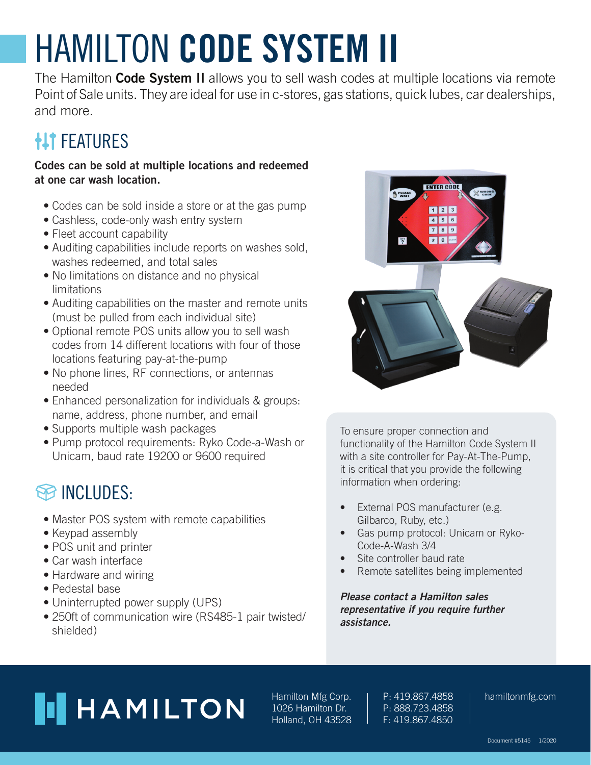# HAMILTON **CODE SYSTEM II**

The Hamilton **Code System II** allows you to sell wash codes at multiple locations via remote Point of Sale units. They are ideal for use in c-stores, gas stations, quick lubes, car dealerships, and more.

### **HIT FEATURES**

#### **Codes can be sold at multiple locations and redeemed at one car wash location.**

- Codes can be sold inside a store or at the gas pump
- Cashless, code-only wash entry system
- Fleet account capability
- Auditing capabilities include reports on washes sold, washes redeemed, and total sales
- No limitations on distance and no physical limitations
- Auditing capabilities on the master and remote units (must be pulled from each individual site)
- Optional remote POS units allow you to sell wash codes from 14 different locations with four of those locations featuring pay-at-the-pump
- No phone lines, RF connections, or antennas needed
- Enhanced personalization for individuals & groups: name, address, phone number, and email
- Supports multiple wash packages
- Pump protocol requirements: Ryko Code-a-Wash or Unicam, baud rate 19200 or 9600 required

### **SO INCLUDES:**

- Master POS system with remote capabilities
- Keypad assembly
- POS unit and printer
- Car wash interface
- Hardware and wiring
- Pedestal base
- Uninterrupted power supply (UPS)
- 250ft of communication wire (RS485-1 pair twisted/ shielded)



To ensure proper connection and functionality of the Hamilton Code System II with a site controller for Pay-At-The-Pump, it is critical that you provide the following information when ordering:

- External POS manufacturer (e.g. Gilbarco, Ruby, etc.)
- Gas pump protocol: Unicam or Ryko-Code-A-Wash 3/4
- Site controller baud rate
- Remote satellites being implemented

**Please contact a Hamilton sales representative if you require further assistance.**

## **HAMILTON**

Hamilton Mfg Corp. 1026 Hamilton Dr. Holland, OH 43528

P: 419.867.4858 P: 888.723.4858 F: 419.867.4850

hamiltonmfg.com